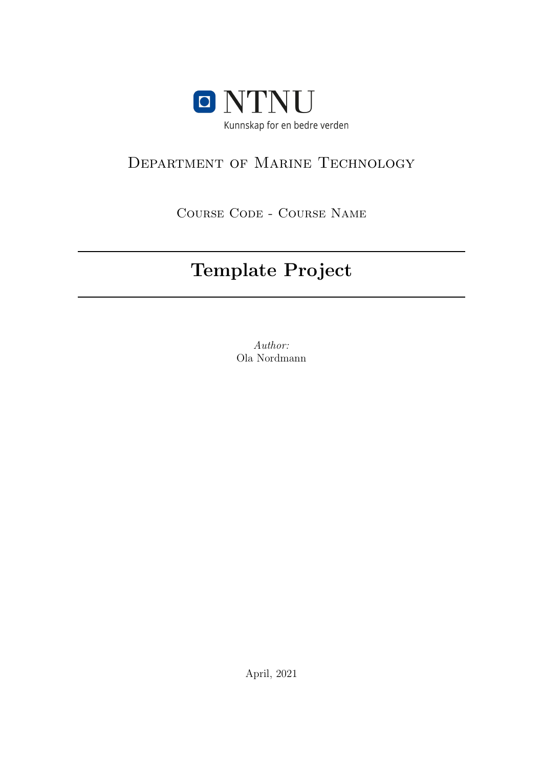

# Department of Marine Technology

Course Code - Course Name

# Template Project

Author: Ola Nordmann

April, 2021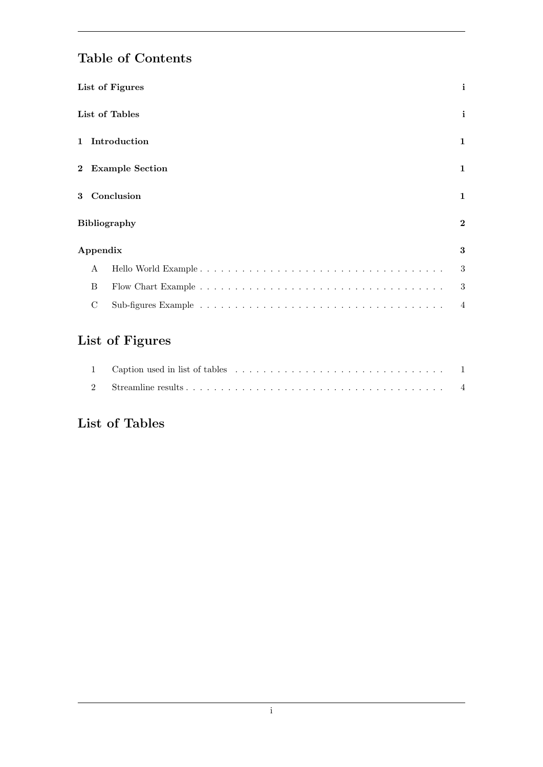# Table of Contents

| List of Figures              | i              |  |  |  |  |  |  |  |  |  |  |  |
|------------------------------|----------------|--|--|--|--|--|--|--|--|--|--|--|
| List of Tables               |                |  |  |  |  |  |  |  |  |  |  |  |
| 1 Introduction               |                |  |  |  |  |  |  |  |  |  |  |  |
| 2 Example Section            | 1              |  |  |  |  |  |  |  |  |  |  |  |
| Conclusion<br>3 <sup>1</sup> | 1              |  |  |  |  |  |  |  |  |  |  |  |
| <b>Bibliography</b>          | $\bf{2}$       |  |  |  |  |  |  |  |  |  |  |  |
| Appendix                     | 3              |  |  |  |  |  |  |  |  |  |  |  |
| A                            | 3              |  |  |  |  |  |  |  |  |  |  |  |
| B                            | 3              |  |  |  |  |  |  |  |  |  |  |  |
| C                            | $\overline{4}$ |  |  |  |  |  |  |  |  |  |  |  |

# <span id="page-1-0"></span>List of Figures

### <span id="page-1-1"></span>List of Tables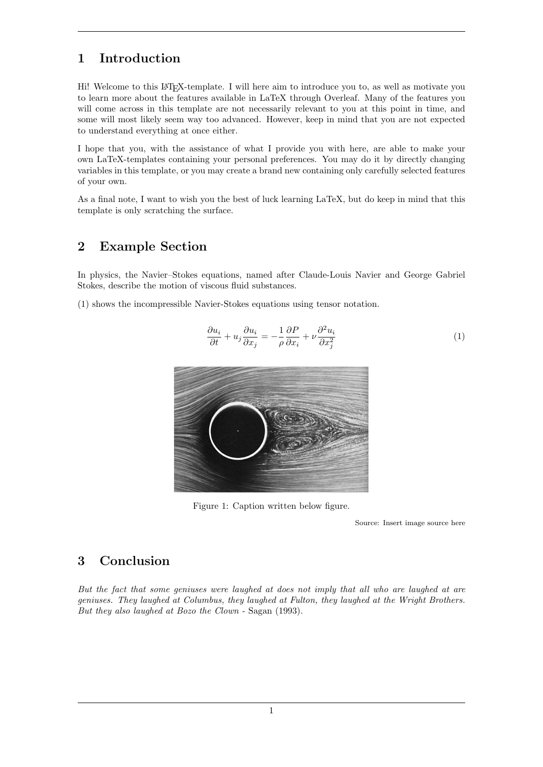#### <span id="page-2-0"></span>1 Introduction

Hi! Welcome to this LATEX-template. I will here aim to introduce you to, as well as motivate you to learn more about the features available in LaTeX through Overleaf. Many of the features you will come across in this template are not necessarily relevant to you at this point in time, and some will most likely seem way too advanced. However, keep in mind that you are not expected to understand everything at once either.

I hope that you, with the assistance of what I provide you with here, are able to make your own LaTeX-templates containing your personal preferences. You may do it by directly changing variables in this template, or you may create a brand new containing only carefully selected features of your own.

As a final note, I want to wish you the best of luck learning LaTeX, but do keep in mind that this template is only scratching the surface.

#### <span id="page-2-1"></span>2 Example Section

In physics, the Navier–Stokes equations, named after Claude-Louis Navier and George Gabriel Stokes, describe the motion of viscous fluid substances.

<span id="page-2-4"></span><span id="page-2-3"></span>[\(1\)](#page-2-4) shows the incompressible Navier-Stokes equations using tensor notation.

$$
\frac{\partial u_i}{\partial t} + u_j \frac{\partial u_i}{\partial x_j} = -\frac{1}{\rho} \frac{\partial P}{\partial x_i} + \nu \frac{\partial^2 u_i}{\partial x_j^2}
$$
\n(1)



Figure 1: Caption written below figure.

Source: Insert image source here

#### <span id="page-2-2"></span>3 Conclusion

But the fact that some geniuses were laughed at does not imply that all who are laughed at are geniuses. They laughed at Columbus, they laughed at Fulton, they laughed at the Wright Brothers. But they also laughed at Bozo the Clown - Sagan [\(1993\)](#page-3-1).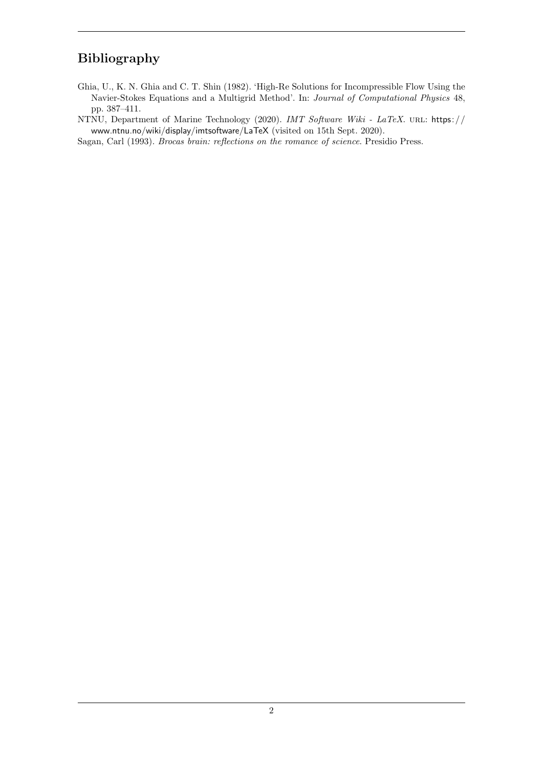### <span id="page-3-0"></span>Bibliography

- <span id="page-3-2"></span>Ghia, U., K. N. Ghia and C. T. Shin (1982). 'High-Re Solutions for Incompressible Flow Using the Navier-Stokes Equations and a Multigrid Method'. In: Journal of Computational Physics 48, pp. 387–411.
- NTNU, Department of Marine Technology (2020). IMT Software Wiki LaTeX. URL: [https://](https://www.ntnu.no/wiki/display/imtsoftware/LaTeX) [www.ntnu.no/wiki/display/imtsoftware/LaTeX](https://www.ntnu.no/wiki/display/imtsoftware/LaTeX) (visited on 15th Sept. 2020).
- <span id="page-3-1"></span>Sagan, Carl (1993). Brocas brain: reflections on the romance of science. Presidio Press.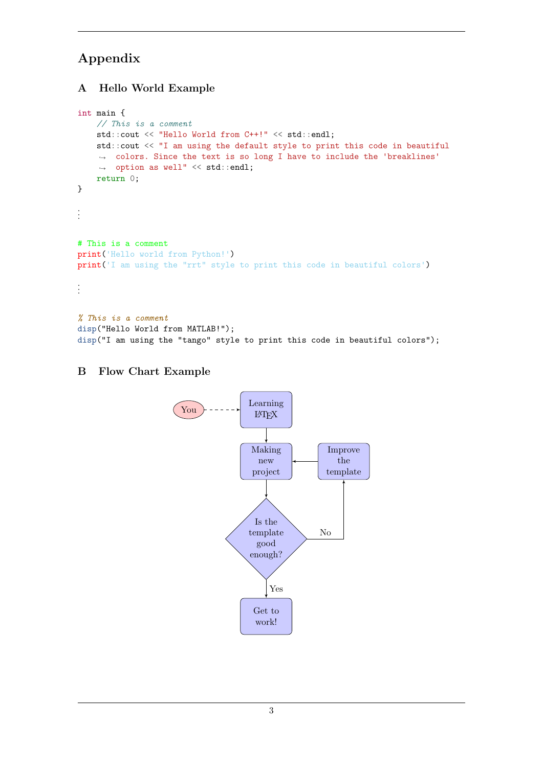### <span id="page-4-0"></span>Appendix

#### <span id="page-4-1"></span>A Hello World Example

```
int main {
    // This is a comment
    std::cout << "Hello World from C++!" << std::endl;
    std::cout << "I am using the default style to print this code in beautiful
     → colors. Since the text is so long I have to include the 'breaklines'
     \rightarrow option as well" \lt\lt std::endl;
    return 0;
}
.
.
.
# This is a comment
print('Hello world from Python!')
print('I am using the "rrt" style to print this code in beautiful colors')
.
.
.
% This is a comment
disp("Hello World from MATLAB!");
```
disp("I am using the "tango" style to print this code in beautiful colors");

#### <span id="page-4-2"></span>B Flow Chart Example